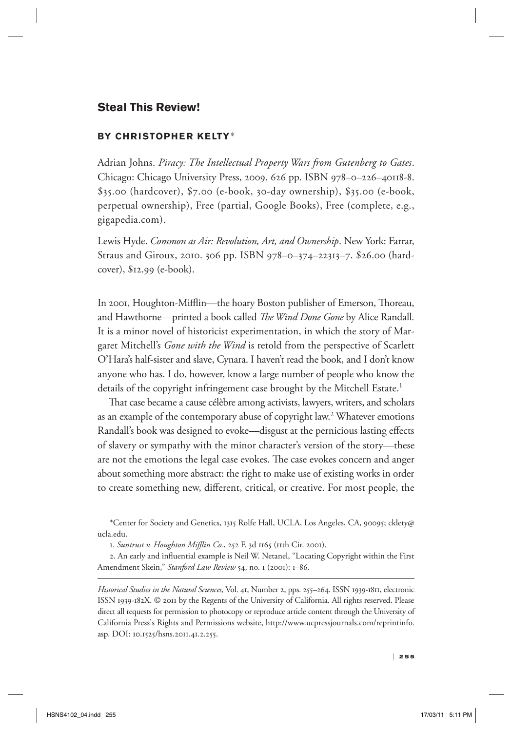## **Steal This Review!**

## **BY CHRISTOPHER KELTY\***

Adrian Johns. *Piracy: The Intellectual Property Wars from Gutenberg to Gates*. Chicago: Chicago University Press, 2009. 626 pp. ISBN 978–0–226–40118-8.  $$35.00$  (hardcover),  $$7.00$  (e-book, 30-day ownership),  $$35.00$  (e-book, perpetual ownership), Free (partial, Google Books), Free (complete, e.g., gigapedia.com).

Lewis Hyde. *Common as Air: Revolution, Art, and Ownership*. New York: Farrar, Straus and Giroux, 2010. 306 pp. ISBN 978–0–374–22313–7. \$26.00 (hardcover), \$12.99 (e-book).

In 2001, Houghton-Mifflin—the hoary Boston publisher of Emerson, Thoreau, and Hawthorne—printed a book called *The Wind Done Gone* by Alice Randall*.* It is a minor novel of historicist experimentation, in which the story of Margaret Mitchell's *Gone with the Wind* is retold from the perspective of Scarlett O'Hara's half-sister and slave, Cynara. I haven't read the book, and I don't know anyone who has. I do, however, know a large number of people who know the details of the copyright infringement case brought by the Mitchell Estate.<sup>1</sup>

That case became a cause célèbre among activists, lawyers, writers, and scholars as an example of the contemporary abuse of copyright law.<sup>2</sup> Whatever emotions Randall's book was designed to evoke—disgust at the pernicious lasting effects of slavery or sympathy with the minor character's version of the story—these are not the emotions the legal case evokes. The case evokes concern and anger about something more abstract: the right to make use of existing works in order to create something new, different, critical, or creative. For most people, the

\*Center for Society and Genetics, 1315 Rolfe Hall, UCLA, Los Angeles, CA, 90095; cklety@ ucla.edu.

1. *Suntrust v. Houghton Mifflin Co.*, 252 F. 3d 1165 (11th Cir. 2001).

2. An early and influential example is Neil W. Netanel, "[Locating Copyright within the First](http://www.jstor.org/stable/1229424)  [Amendment Skein,](http://www.jstor.org/stable/1229424)" *[Stanford Law Review](http://www.jstor.org/action/showPublication?journalCode=stanlawrevi)* 54, no. 1 (2001): 1–86.

*Historical Studies in the Natural Sciences,* Vol. 41, Number 2, pps. 255–264. ISSN 1939-1811, electronic ISSN 1939-182X. © 2011 by the Regents of the University of California. All rights reserved. Please direct all requests for permission to photocopy or reproduce article content through the University of California Press's Rights and Permissions website, http://www.ucpressjournals.com/reprintinfo. asp. DOI: 10.1525/hsns.2011.41.2.255.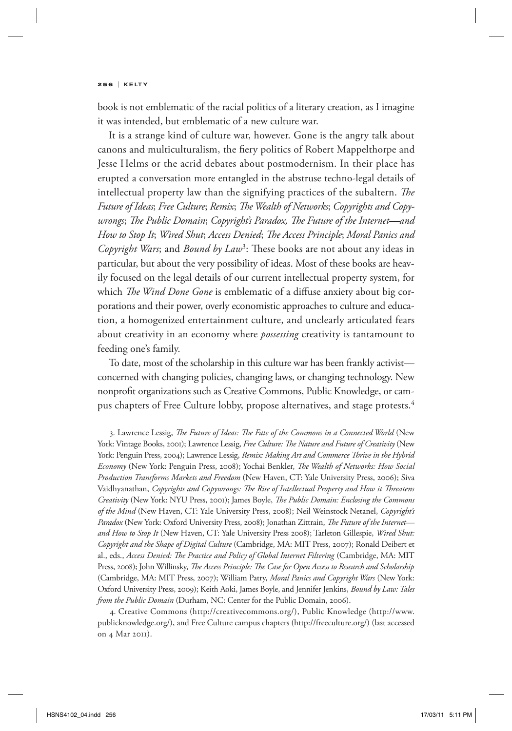book is not emblematic of the racial politics of a literary creation, as I imagine it was intended, but emblematic of a new culture war.

It is a strange kind of culture war, however. Gone is the angry talk about canons and multiculturalism, the fiery politics of Robert Mappelthorpe and Jesse Helms or the acrid debates about postmodernism. In their place has erupted a conversation more entangled in the abstruse techno-legal details of intellectual property law than the signifying practices of the subaltern. *The Future of Ideas*; *Free Culture*; *Remix*; *The Wealth of Networks*; *Copyrights and Copywrongs*; *The Public Domain*; *Copyright's Paradox, The Future of the Internet—and How to Stop It*; *Wired Shut*; *Access Denied*; *The Access Principle*; *Moral Panics and Copyright Wars*; and *Bound by Law*<sup>3</sup> : These books are not about any ideas in particular, but about the very possibility of ideas. Most of these books are heavily focused on the legal details of our current intellectual property system, for which *The Wind Done Gone* is emblematic of a diffuse anxiety about big corporations and their power, overly economistic approaches to culture and education, a homogenized entertainment culture, and unclearly articulated fears about creativity in an economy where *possessing* creativity is tantamount to feeding one's family.

To date, most of the scholarship in this culture war has been frankly activist concerned with changing policies, changing laws, or changing technology. New nonprofit organizations such as Creative Commons, Public Knowledge, or campus chapters of Free Culture lobby, propose alternatives, and stage protests.<sup>4</sup>

3. Lawrence Lessig, *The Future of Ideas: The Fate of the Commons in a Connected World* (New York: Vintage Books, 2001); Lawrence Lessig, *Free Culture: The Nature and Future of Creativity* (New York: Penguin Press, 2004); Lawrence Lessig, *Remix: Making Art and Commerce Thrive in the Hybrid Economy* (New York: Penguin Press, 2008); Yochai Benkler, *The Wealth of Networks: How Social Production Transforms Markets and Freedom* (New Haven, CT: Yale University Press, 2006); Siva Vaidhyanathan, *Copyrights and Copywrongs: The Rise of Intellectual Property and How it Threatens Creativity* (New York: NYU Press, 2001); James Boyle, *The Public Domain: Enclosing the Commons of the Mind* (New Haven, CT: Yale University Press, 2008); Neil Weinstock Netanel, *Copyright's Paradox* (New York: Oxford University Press, 2008); Jonathan Zittrain, *The Future of the Internet and How to Stop It* (New Haven, CT: Yale University Press 2008); Tarleton Gillespie, *Wired Shut: Copyright and the Shape of Digital Culture* (Cambridge, MA: MIT Press, 2007); Ronald Deibert et al., eds., *Access Denied: The Practice and Policy of Global Internet Filtering* (Cambridge, MA: MIT Press, 2008); John Willinsky, *The Access Principle: The Case for Open Access to Research and Scholarship* (Cambridge, MA: MIT Press, 2007); William Patry, *Moral Panics and Copyright Wars* (New York: Oxford University Press, 2009); Keith Aoki, James Boyle, and Jennifer Jenkins, *Bound by Law: Tales from the Public Domain* (Durham, NC: Center for the Public Domain, 2006).

4. Creative Commons (http://creativecommons.org/), Public Knowledge (http://www. publicknowledge.org/), and Free Culture campus chapters (http://freeculture.org/) (last accessed on 4 Mar 2011).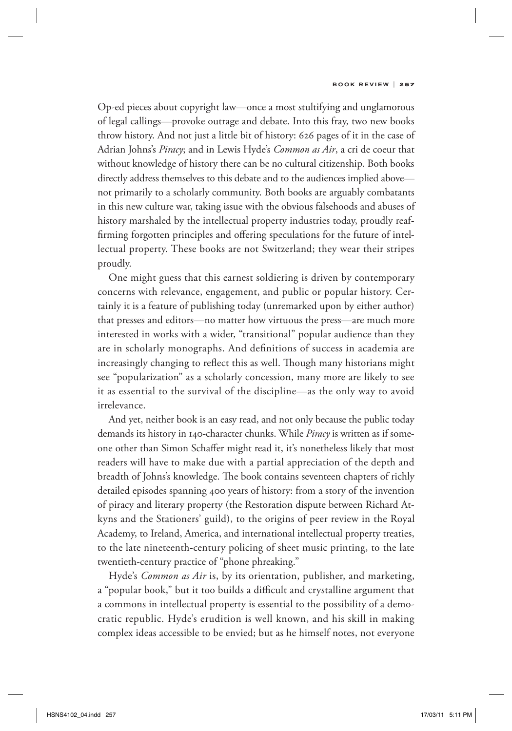Op-ed pieces about copyright law—once a most stultifying and unglamorous of legal callings—provoke outrage and debate. Into this fray, two new books throw history. And not just a little bit of history: 626 pages of it in the case of Adrian Johns's *Piracy*; and in Lewis Hyde's *Common as Air*, a cri de coeur that without knowledge of history there can be no cultural citizenship. Both books directly address themselves to this debate and to the audiences implied above not primarily to a scholarly community. Both books are arguably combatants in this new culture war, taking issue with the obvious falsehoods and abuses of history marshaled by the intellectual property industries today, proudly reaffirming forgotten principles and offering speculations for the future of intellectual property. These books are not Switzerland; they wear their stripes proudly.

One might guess that this earnest soldiering is driven by contemporary concerns with relevance, engagement, and public or popular history. Certainly it is a feature of publishing today (unremarked upon by either author) that presses and editors—no matter how virtuous the press—are much more interested in works with a wider, "transitional" popular audience than they are in scholarly monographs. And definitions of success in academia are increasingly changing to reflect this as well. Though many historians might see "popularization" as a scholarly concession, many more are likely to see it as essential to the survival of the discipline—as the only way to avoid irrelevance.

And yet, neither book is an easy read, and not only because the public today demands its history in 140-character chunks. While *Piracy* is written as if someone other than Simon Schaffer might read it, it's nonetheless likely that most readers will have to make due with a partial appreciation of the depth and breadth of Johns's knowledge. The book contains seventeen chapters of richly detailed episodes spanning 400 years of history: from a story of the invention of piracy and literary property (the Restoration dispute between Richard Atkyns and the Stationers' guild), to the origins of peer review in the Royal Academy, to Ireland, America, and international intellectual property treaties, to the late nineteenth-century policing of sheet music printing, to the late twentieth-century practice of "phone phreaking."

Hyde's *Common as Air* is, by its orientation, publisher, and marketing, a "popular book," but it too builds a difficult and crystalline argument that a commons in intellectual property is essential to the possibility of a democratic republic. Hyde's erudition is well known, and his skill in making complex ideas accessible to be envied; but as he himself notes, not everyone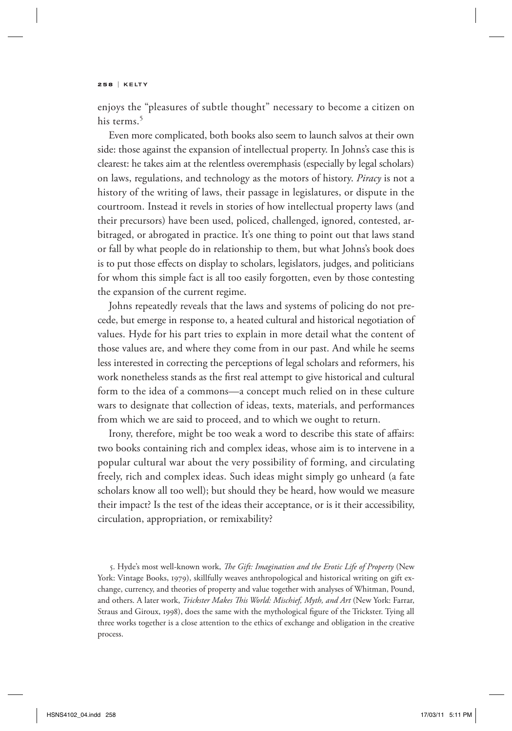enjoys the "pleasures of subtle thought" necessary to become a citizen on his terms.<sup>5</sup>

Even more complicated, both books also seem to launch salvos at their own side: those against the expansion of intellectual property. In Johns's case this is clearest: he takes aim at the relentless overemphasis (especially by legal scholars) on laws, regulations, and technology as the motors of history. *Piracy* is not a history of the writing of laws, their passage in legislatures, or dispute in the courtroom. Instead it revels in stories of how intellectual property laws (and their precursors) have been used, policed, challenged, ignored, contested, arbitraged, or abrogated in practice. It's one thing to point out that laws stand or fall by what people do in relationship to them, but what Johns's book does is to put those effects on display to scholars, legislators, judges, and politicians for whom this simple fact is all too easily forgotten, even by those contesting the expansion of the current regime.

Johns repeatedly reveals that the laws and systems of policing do not precede, but emerge in response to, a heated cultural and historical negotiation of values. Hyde for his part tries to explain in more detail what the content of those values are, and where they come from in our past. And while he seems less interested in correcting the perceptions of legal scholars and reformers, his work nonetheless stands as the first real attempt to give historical and cultural form to the idea of a commons—a concept much relied on in these culture wars to designate that collection of ideas, texts, materials, and performances from which we are said to proceed, and to which we ought to return.

Irony, therefore, might be too weak a word to describe this state of affairs: two books containing rich and complex ideas, whose aim is to intervene in a popular cultural war about the very possibility of forming, and circulating freely, rich and complex ideas. Such ideas might simply go unheard (a fate scholars know all too well); but should they be heard, how would we measure their impact? Is the test of the ideas their acceptance, or is it their accessibility, circulation, appropriation, or remixability?

5. Hyde's most well-known work, *The Gift: Imagination and the Erotic Life of Property* (New York: Vintage Books, 1979), skillfully weaves anthropological and historical writing on gift exchange, currency, and theories of property and value together with analyses of Whitman, Pound, and others. A later work, *Trickster Makes This World: Mischief, Myth, and Art* (New York: Farrar, Straus and Giroux, 1998), does the same with the mythological figure of the Trickster. Tying all three works together is a close attention to the ethics of exchange and obligation in the creative process.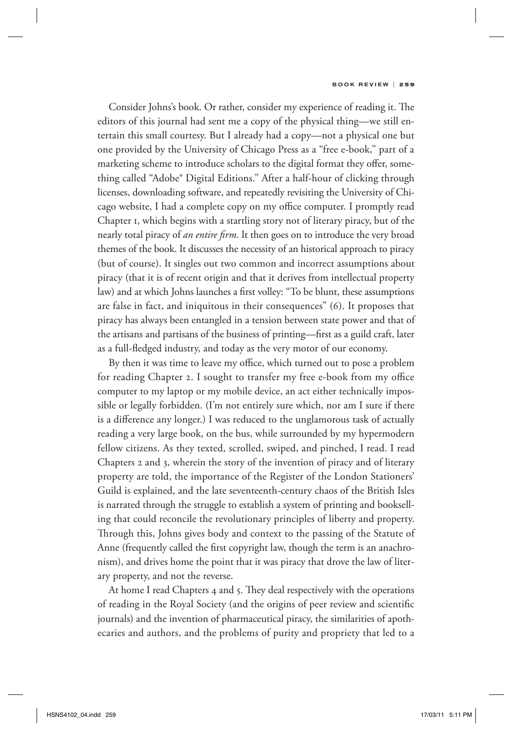Consider Johns's book. Or rather, consider my experience of reading it. The editors of this journal had sent me a copy of the physical thing—we still entertain this small courtesy. But I already had a copy—not a physical one but one provided by the University of Chicago Press as a "free e-book," part of a marketing scheme to introduce scholars to the digital format they offer, something called "Adobe® Digital Editions." After a half-hour of clicking through licenses, downloading software, and repeatedly revisiting the University of Chicago website, I had a complete copy on my office computer. I promptly read Chapter 1, which begins with a startling story not of literary piracy, but of the nearly total piracy of *an entire firm*. It then goes on to introduce the very broad themes of the book. It discusses the necessity of an historical approach to piracy (but of course). It singles out two common and incorrect assumptions about piracy (that it is of recent origin and that it derives from intellectual property law) and at which Johns launches a first volley: "To be blunt, these assumptions are false in fact, and iniquitous in their consequences" (6). It proposes that piracy has always been entangled in a tension between state power and that of the artisans and partisans of the business of printing—first as a guild craft, later as a full-fledged industry, and today as the very motor of our economy.

By then it was time to leave my office, which turned out to pose a problem for reading Chapter 2. I sought to transfer my free e-book from my office computer to my laptop or my mobile device, an act either technically impossible or legally forbidden. (I'm not entirely sure which, nor am I sure if there is a difference any longer.) I was reduced to the unglamorous task of actually reading a very large book, on the bus, while surrounded by my hypermodern fellow citizens. As they texted, scrolled, swiped, and pinched, I read. I read Chapters 2 and 3, wherein the story of the invention of piracy and of literary property are told, the importance of the Register of the London Stationers' Guild is explained, and the late seventeenth-century chaos of the British Isles is narrated through the struggle to establish a system of printing and bookselling that could reconcile the revolutionary principles of liberty and property. Through this, Johns gives body and context to the passing of the Statute of Anne (frequently called the first copyright law, though the term is an anachronism), and drives home the point that it was piracy that drove the law of literary property, and not the reverse.

At home I read Chapters 4 and 5. They deal respectively with the operations of reading in the Royal Society (and the origins of peer review and scientific journals) and the invention of pharmaceutical piracy, the similarities of apothecaries and authors, and the problems of purity and propriety that led to a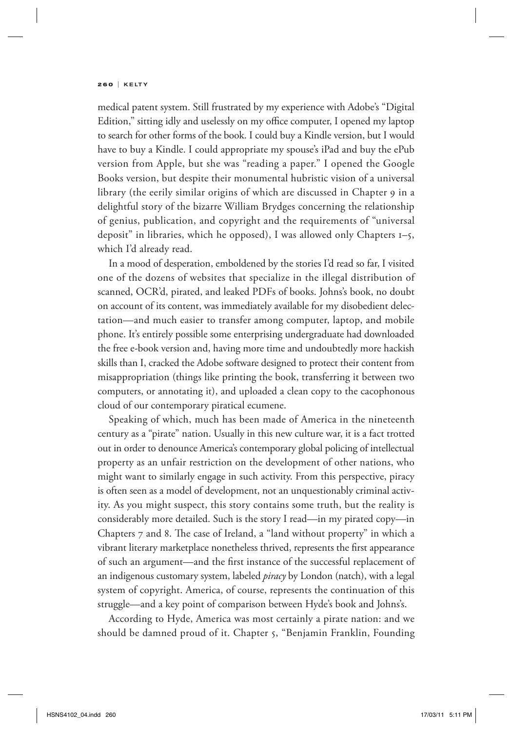medical patent system. Still frustrated by my experience with Adobe's "Digital Edition," sitting idly and uselessly on my office computer, I opened my laptop to search for other forms of the book. I could buy a Kindle version, but I would have to buy a Kindle. I could appropriate my spouse's iPad and buy the ePub version from Apple, but she was "reading a paper." I opened the Google Books version, but despite their monumental hubristic vision of a universal library (the eerily similar origins of which are discussed in Chapter 9 in a delightful story of the bizarre William Brydges concerning the relationship of genius, publication, and copyright and the requirements of "universal deposit" in libraries, which he opposed), I was allowed only Chapters 1–5, which I'd already read.

In a mood of desperation, emboldened by the stories I'd read so far, I visited one of the dozens of websites that specialize in the illegal distribution of scanned, OCR'd, pirated, and leaked PDFs of books. Johns's book, no doubt on account of its content, was immediately available for my disobedient delectation—and much easier to transfer among computer, laptop, and mobile phone. It's entirely possible some enterprising undergraduate had downloaded the free e-book version and, having more time and undoubtedly more hackish skills than I, cracked the Adobe software designed to protect their content from misappropriation (things like printing the book, transferring it between two computers, or annotating it), and uploaded a clean copy to the cacophonous cloud of our contemporary piratical ecumene.

Speaking of which, much has been made of America in the nineteenth century as a "pirate" nation. Usually in this new culture war, it is a fact trotted out in order to denounce America's contemporary global policing of intellectual property as an unfair restriction on the development of other nations, who might want to similarly engage in such activity. From this perspective, piracy is often seen as a model of development, not an unquestionably criminal activity. As you might suspect, this story contains some truth, but the reality is considerably more detailed. Such is the story I read—in my pirated copy—in Chapters 7 and 8. The case of Ireland, a "land without property" in which a vibrant literary marketplace nonetheless thrived, represents the first appearance of such an argument—and the first instance of the successful replacement of an indigenous customary system, labeled *piracy* by London (natch), with a legal system of copyright. America, of course, represents the continuation of this struggle—and a key point of comparison between Hyde's book and Johns's.

According to Hyde, America was most certainly a pirate nation: and we should be damned proud of it. Chapter 5, "Benjamin Franklin, Founding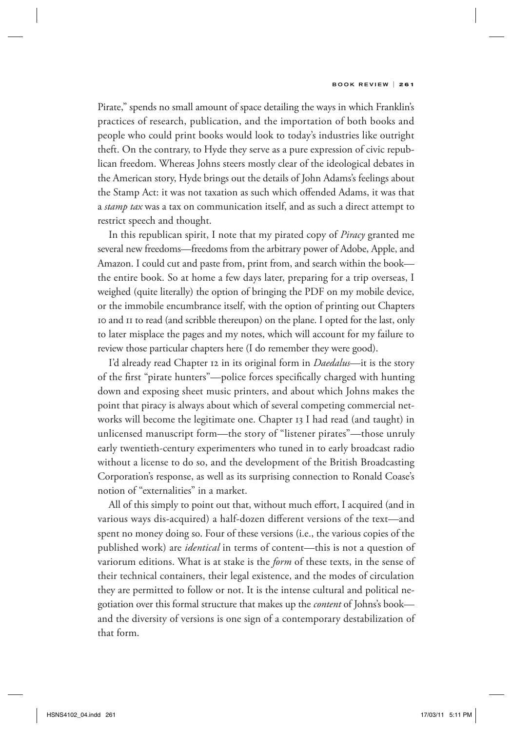Pirate," spends no small amount of space detailing the ways in which Franklin's practices of research, publication, and the importation of both books and people who could print books would look to today's industries like outright theft. On the contrary, to Hyde they serve as a pure expression of civic republican freedom. Whereas Johns steers mostly clear of the ideological debates in the American story, Hyde brings out the details of John Adams's feelings about the Stamp Act: it was not taxation as such which offended Adams, it was that a *stamp tax* was a tax on communication itself, and as such a direct attempt to restrict speech and thought.

In this republican spirit, I note that my pirated copy of *Piracy* granted me several new freedoms—freedoms from the arbitrary power of Adobe, Apple, and Amazon. I could cut and paste from, print from, and search within the book the entire book. So at home a few days later, preparing for a trip overseas, I weighed (quite literally) the option of bringing the PDF on my mobile device, or the immobile encumbrance itself, with the option of printing out Chapters 10 and 11 to read (and scribble thereupon) on the plane. I opted for the last, only to later misplace the pages and my notes, which will account for my failure to review those particular chapters here (I do remember they were good).

I'd already read Chapter 12 in its original form in *Daedalus*—it is the story of the first "pirate hunters"—police forces specifically charged with hunting down and exposing sheet music printers, and about which Johns makes the point that piracy is always about which of several competing commercial networks will become the legitimate one. Chapter 13 I had read (and taught) in unlicensed manuscript form—the story of "listener pirates"—those unruly early twentieth-century experimenters who tuned in to early broadcast radio without a license to do so, and the development of the British Broadcasting Corporation's response, as well as its surprising connection to Ronald Coase's notion of "externalities" in a market.

All of this simply to point out that, without much effort, I acquired (and in various ways dis-acquired) a half-dozen different versions of the text—and spent no money doing so. Four of these versions (i.e., the various copies of the published work) are *identical* in terms of content—this is not a question of variorum editions. What is at stake is the *form* of these texts, in the sense of their technical containers, their legal existence, and the modes of circulation they are permitted to follow or not. It is the intense cultural and political negotiation over this formal structure that makes up the *content* of Johns's book and the diversity of versions is one sign of a contemporary destabilization of that form.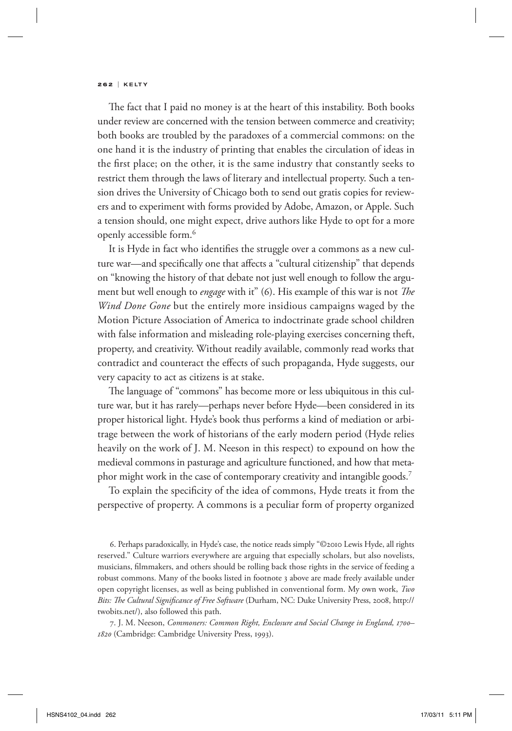The fact that I paid no money is at the heart of this instability. Both books under review are concerned with the tension between commerce and creativity; both books are troubled by the paradoxes of a commercial commons: on the one hand it is the industry of printing that enables the circulation of ideas in the first place; on the other, it is the same industry that constantly seeks to restrict them through the laws of literary and intellectual property. Such a tension drives the University of Chicago both to send out gratis copies for reviewers and to experiment with forms provided by Adobe, Amazon, or Apple. Such a tension should, one might expect, drive authors like Hyde to opt for a more openly accessible form.<sup>6</sup>

It is Hyde in fact who identifies the struggle over a commons as a new culture war—and specifically one that affects a "cultural citizenship" that depends on "knowing the history of that debate not just well enough to follow the argument but well enough to *engage* with it" (6). His example of this war is not *The Wind Done Gone* but the entirely more insidious campaigns waged by the Motion Picture Association of America to indoctrinate grade school children with false information and misleading role-playing exercises concerning theft, property, and creativity. Without readily available, commonly read works that contradict and counteract the effects of such propaganda, Hyde suggests, our very capacity to act as citizens is at stake.

The language of "commons" has become more or less ubiquitous in this culture war, but it has rarely—perhaps never before Hyde—been considered in its proper historical light. Hyde's book thus performs a kind of mediation or arbitrage between the work of historians of the early modern period (Hyde relies heavily on the work of J. M. Neeson in this respect) to expound on how the medieval commons in pasturage and agriculture functioned, and how that metaphor might work in the case of contemporary creativity and intangible goods.<sup>7</sup>

To explain the specificity of the idea of commons, Hyde treats it from the perspective of property. A commons is a peculiar form of property organized

6. Perhaps paradoxically, in Hyde's case, the notice reads simply "©2010 Lewis Hyde, all rights reserved." Culture warriors everywhere are arguing that especially scholars, but also novelists, musicians, filmmakers, and others should be rolling back those rights in the service of feeding a robust commons. Many of the books listed in footnote 3 above are made freely available under open copyright licenses, as well as being published in conventional form. My own work, *Two Bits: The Cultural Significance of Free Software* (Durham, NC: Duke University Press, 2008, http:// twobits.net/), also followed this path.

7. J. M. Neeson, *Commoners: Common Right, Enclosure and Social Change in England, 1700– 1820* (Cambridge: Cambridge University Press, 1993).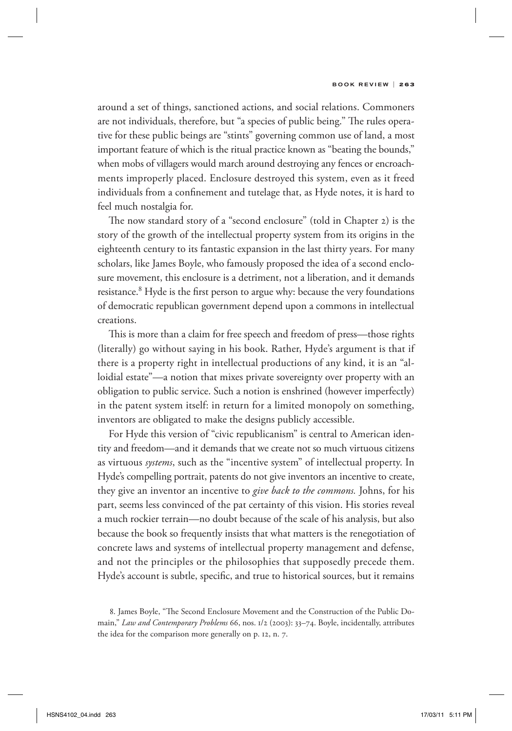around a set of things, sanctioned actions, and social relations. Commoners are not individuals, therefore, but "a species of public being." The rules operative for these public beings are "stints" governing common use of land, a most important feature of which is the ritual practice known as "beating the bounds," when mobs of villagers would march around destroying any fences or encroachments improperly placed. Enclosure destroyed this system, even as it freed individuals from a confinement and tutelage that, as Hyde notes, it is hard to feel much nostalgia for.

The now standard story of a "second enclosure" (told in Chapter 2) is the story of the growth of the intellectual property system from its origins in the eighteenth century to its fantastic expansion in the last thirty years. For many scholars, like James Boyle, who famously proposed the idea of a second enclosure movement, this enclosure is a detriment, not a liberation, and it demands resistance.<sup>8</sup> Hyde is the first person to argue why: because the very foundations of democratic republican government depend upon a commons in intellectual creations.

This is more than a claim for free speech and freedom of press—those rights (literally) go without saying in his book. Rather, Hyde's argument is that if there is a property right in intellectual productions of any kind, it is an "alloidial estate"—a notion that mixes private sovereignty over property with an obligation to public service. Such a notion is enshrined (however imperfectly) in the patent system itself: in return for a limited monopoly on something, inventors are obligated to make the designs publicly accessible.

For Hyde this version of "civic republicanism" is central to American identity and freedom—and it demands that we create not so much virtuous citizens as virtuous *systems*, such as the "incentive system" of intellectual property. In Hyde's compelling portrait, patents do not give inventors an incentive to create, they give an inventor an incentive to *give back to the commons.* Johns, for his part, seems less convinced of the pat certainty of this vision. His stories reveal a much rockier terrain—no doubt because of the scale of his analysis, but also because the book so frequently insists that what matters is the renegotiation of concrete laws and systems of intellectual property management and defense, and not the principles or the philosophies that supposedly precede them. Hyde's account is subtle, specific, and true to historical sources, but it remains

<sup>8.</sup> James Boyle, "The Second Enclosure Movement and the Construction of the Public Domain," *Law and Contemporary Problems* 66, nos. 1/2 (2003): 33–74. Boyle, incidentally, attributes the idea for the comparison more generally on p. 12, n. 7.